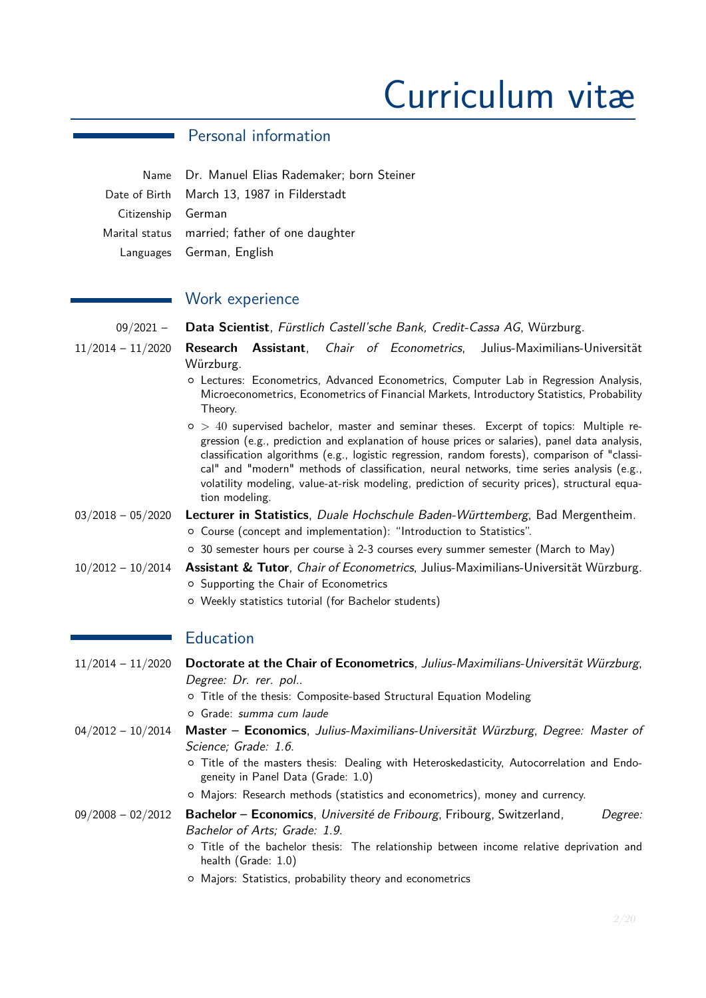# Curriculum vitæ

## Personal information

|                    | Name Dr. Manuel Elias Rademaker; born Steiner  |
|--------------------|------------------------------------------------|
|                    | Date of Birth March 13, 1987 in Filderstadt    |
| Citizenship German |                                                |
|                    | Marital status married; father of one daughter |
|                    | Languages German, English                      |

## Work experience

09/2021 – **Data Scientist**, Fürstlich Castell'sche Bank, Credit-Cassa AG, Würzburg. 11/2014 – 11/2020 **Research Assistant**, Chair of Econometrics, Julius-Maximilians-Universität Würzburg. { Lectures: Econometrics, Advanced Econometrics, Computer Lab in Regression Analysis, Microeconometrics, Econometrics of Financial Markets, Introductory Statistics, Probability Theory. { *>* 40 supervised bachelor, master and seminar theses. Excerpt of topics: Multiple regression (e.g., prediction and explanation of house prices or salaries), panel data analysis, classification algorithms (e.g., logistic regression, random forests), comparison of "classical" and "modern" methods of classification, neural networks, time series analysis (e.g., volatility modeling, value-at-risk modeling, prediction of security prices), structural equation modeling. 03/2018 – 05/2020 **Lecturer in Statistics**, Duale Hochschule Baden-Württemberg, Bad Mergentheim. { Course (concept and implementation): "Introduction to Statistics". { 30 semester hours per course à 2-3 courses every summer semester (March to May) 10/2012 – 10/2014 **Assistant & Tutor**, Chair of Econometrics, Julius-Maximilians-Universität Würzburg. { Supporting the Chair of Econometrics { Weekly statistics tutorial (for Bachelor students) **Education** 11/2014 – 11/2020 **Doctorate at the Chair of Econometrics**, Julius-Maximilians-Universität Würzburg, Degree: Dr. rer. pol.. { Title of the thesis: Composite-based Structural Equation Modeling { Grade: summa cum laude 04/2012 – 10/2014 **Master – Economics**, Julius-Maximilians-Universität Würzburg, Degree: Master of Science; Grade: 1.6. { Title of the masters thesis: Dealing with Heteroskedasticity, Autocorrelation and Endogeneity in Panel Data (Grade: 1.0) { Majors: Research methods (statistics and econometrics), money and currency. 09/2008 – 02/2012 **Bachelor – Economics**, Université de Fribourg, Fribourg, Switzerland, Degree: Bachelor of Arts; Grade: 1.9. { Title of the bachelor thesis: The relationship between income relative deprivation and health (Grade: 1.0)

{ Majors: Statistics, probability theory and econometrics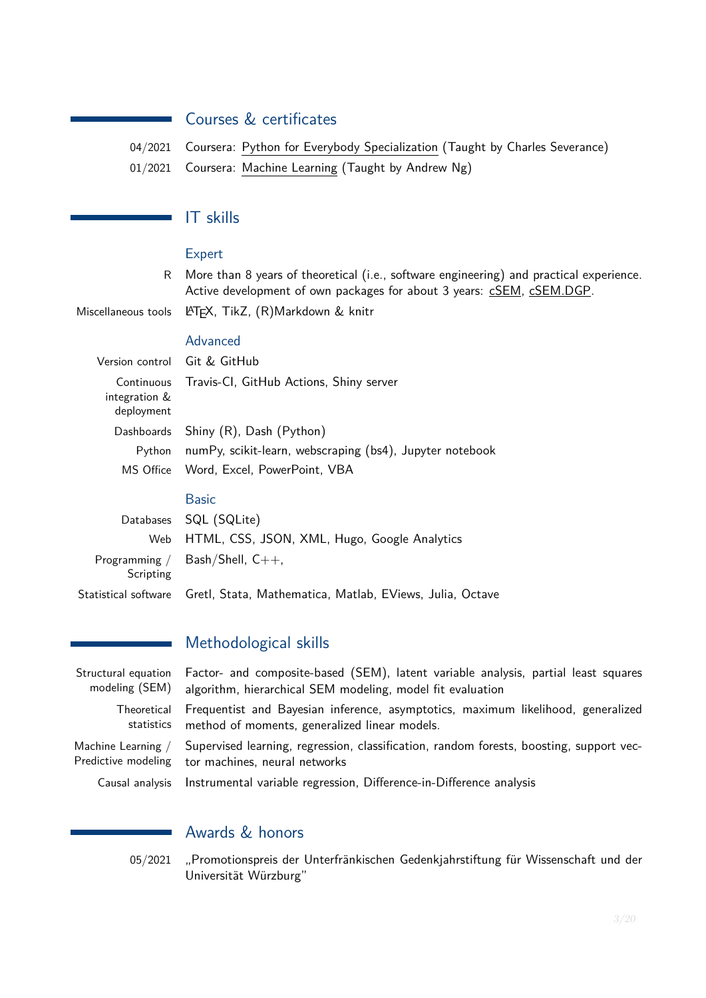# Courses & certificates

| 04/2021 Coursera: Python for Everybody Specialization (Taught by Charles Severance) |
|-------------------------------------------------------------------------------------|
| 01/2021 Coursera: Machine Learning (Taught by Andrew Ng)                            |

## IT skills

 $\mathcal{L}_{\mathcal{A}}$ 

#### Expert

R More than 8 years of theoretical (i.e., software engineering) and practical experience. Active development of own packages for about 3 years: [cSEM,](https://github.com/M-E-Rademaker/cSEM) [cSEM.DGP.](https://github.com/M-E-Rademaker/cSEM.DGP)

Miscellaneous tools LATEX, TikZ, (R)Markdown & knitr

#### Advanced

|                                           | Version control Git & GitHub                             |
|-------------------------------------------|----------------------------------------------------------|
| Continuous<br>integration &<br>deployment | Travis-CI, GitHub Actions, Shiny server                  |
|                                           | Dashboards Shiny (R), Dash (Python)                      |
| Python                                    | numPy, scikit-learn, webscraping (bs4), Jupyter notebook |
|                                           | MS Office Word, Excel, PowerPoint, VBA                   |
|                                           |                                                          |

## Basic

|           | Databases SQL (SQLite)                                                           |
|-----------|----------------------------------------------------------------------------------|
|           | Web HTML, CSS, JSON, XML, Hugo, Google Analytics                                 |
| Scripting | Programming / Bash/Shell, $C_{++}$ ,                                             |
|           | Statistical software    Gretl, Stata, Mathematica, Matlab, EViews, Julia, Octave |

## Methodological skills

| Structural equation | Factor- and composite-based (SEM), latent variable analysis, partial least squares                                                           |
|---------------------|----------------------------------------------------------------------------------------------------------------------------------------------|
| modeling (SEM)      | algorithm, hierarchical SEM modeling, model fit evaluation                                                                                   |
| Theoretical         | Frequentist and Bayesian inference, asymptotics, maximum likelihood, generalized                                                             |
| statistics          | method of moments, generalized linear models.                                                                                                |
| Machine Learning /  | Supervised learning, regression, classification, random forests, boosting, support vec-<br>Predictive modeling tor machines, neural networks |
| Causal analysis     | Instrumental variable regression, Difference-in-Difference analysis                                                                          |

# Awards & honors

05/2021 "Promotionspreis der Unterfränkischen Gedenkjahrstiftung für Wissenschaft und der Universität Würzburg"